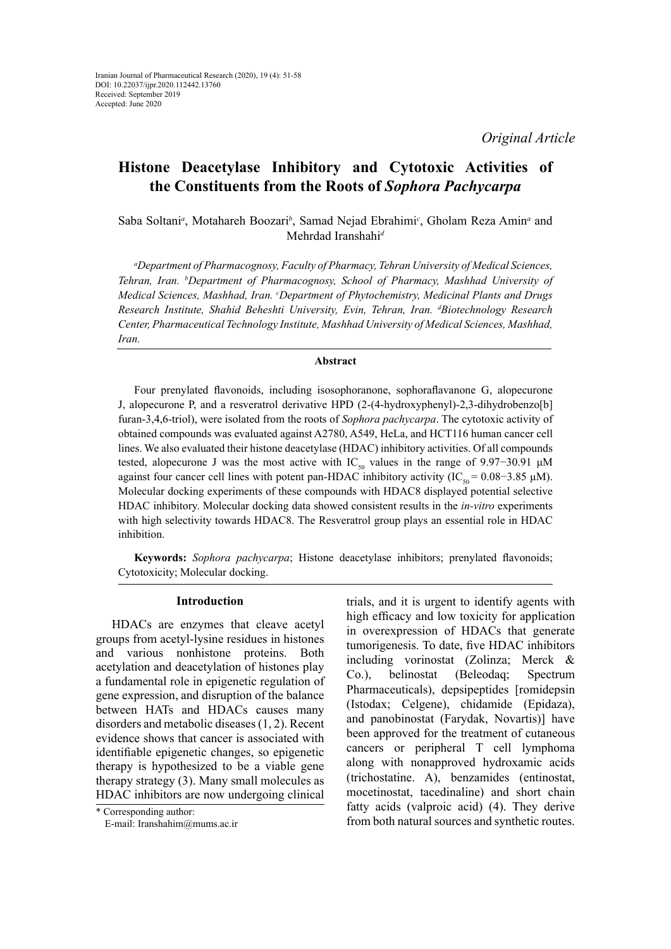*Original Article*

# **Histone Deacetylase Inhibitory and [Cytotoxic Activities](https://www.sciencedirect.com/science/article/pii/S0367326X17308432) [of](https://www.sciencedirect.com/science/article/pii/S0031942201003077) the [Constituents](https://www.sciencedirect.com/science/article/pii/S0031942201003077) from the Roots of** *Sophora Pachycarpa*

Saba Soltani<sup>*a*</sup>, Motahareh Boozari<sup>b</sup>, Samad Nejad Ebrahimi<sup>c</sup>, Gholam Reza Amin<sup>*a*</sup> and Mehrdad Iranshahi*<sup>d</sup>*

*a Department of Pharmacognosy, Faculty of Pharmacy, Tehran University of Medical Sciences, Tehran, Iran. b Department of Pharmacognosy, School of Pharmacy, Mashhad University of Medical Sciences, Mashhad, Iran. c Department of Phytochemistry, Medicinal Plants and Drugs Research Institute, Shahid Beheshti University, Evin, Tehran, Iran. d Biotechnology Research Center, Pharmaceutical Technology Institute, Mashhad University of Medical Sciences, Mashhad, Iran.*

### **Abstract**

Four prenylated flavonoids, including isosophoranone, sophoraflavanone G, alopecurone J, alopecurone P, and a resveratrol derivative HPD (2-(4-hydroxyphenyl)-2,3-dihydrobenzo[b] furan-3,4,6-triol), were isolated from the roots of *Sophora pachycarpa*. The cytotoxic activity of obtained compounds was evaluated against A2780, A549, HeLa, and HCT116 human cancer cell lines. We also evaluated their histone deacetylase (HDAC) inhibitory activities. Of all compounds tested, alopecurone J was the most active with IC<sub>50</sub> values in the range of 9.97−30.91 μM against four cancer cell lines with potent pan-HDAC inhibitory activity (IC<sub>50</sub> = 0.08–3.85 μM). Molecular docking experiments of these compounds with HDAC8 displayed potential selective HDAC inhibitory. Molecular docking data showed consistent results in the *in-vitro* experiments with high selectivity towards HDAC8. The Resveratrol group plays an essential role in HDAC inhibition.

**Keywords:** *Sophora pachycarpa*; Histone deacetylase inhibitors; prenylated flavonoids; Cytotoxicity; Molecular docking.

### **Introduction**

HDACs are enzymes that cleave acetyl groups from acetyl-lysine residues in histones and various nonhistone proteins. Both acetylation and deacetylation of histones play a fundamental role in epigenetic regulation of gene expression, and disruption of the balance between HATs and HDACs causes many disorders and metabolic diseases (1, 2). Recent evidence shows that cancer is associated with identifiable epigenetic changes, so epigenetic therapy is hypothesized to be a viable gene therapy strategy (3). Many small molecules as HDAC inhibitors are now undergoing clinical

\* Corresponding author: E-mail: [Iranshahim@mums.ac.ir](mailto:Iranshahim@mums.ac.ir) trials, and it is urgent to identify agents with high efficacy and low toxicity for application in overexpression of HDACs that generate tumorigenesis. To date, five HDAC inhibitors including vorinostat (Zolinza; Merck & Co.), belinostat (Beleodaq; Spectrum Pharmaceuticals), depsipeptides [romidepsin (Istodax; Celgene), chidamide (Epidaza), and panobinostat (Farydak, Novartis)] have been approved for the treatment of cutaneous cancers or peripheral T cell lymphoma along with nonapproved hydroxamic acids (trichostatine. A), benzamides (entinostat, mocetinostat, tacedinaline) and short chain fatty acids (valproic acid) (4). They derive from both natural sources and synthetic routes.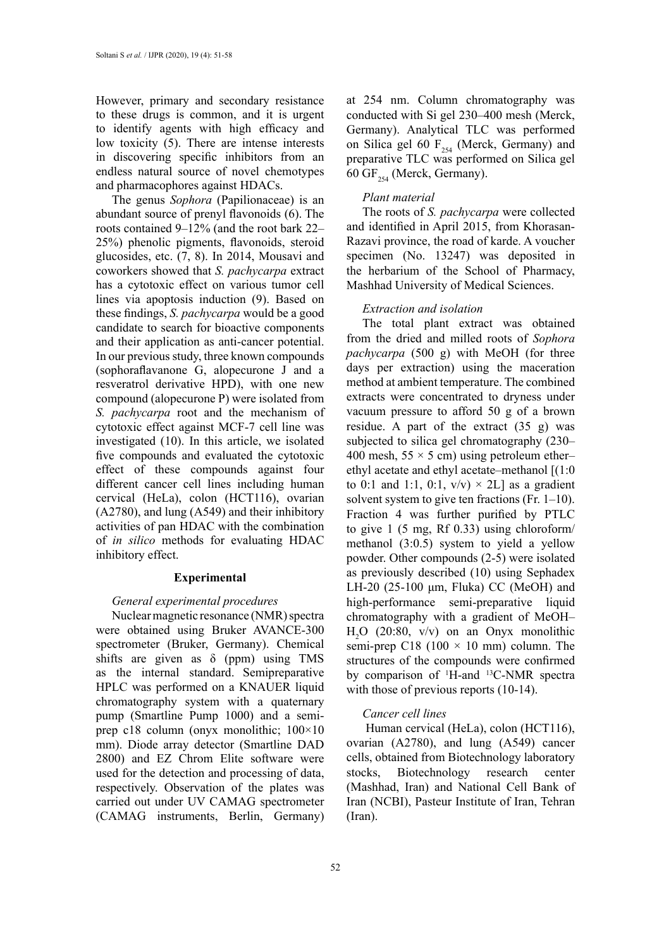However, primary and secondary resistance to these drugs is common, and it is urgent to identify agents with high efficacy and low toxicity (5). There are intense interests in discovering specific inhibitors from an endless natural source of novel chemotypes and pharmacophores against HDACs.

The genus *Sophora* (Papilionaceae) is an abundant source of prenyl flavonoids (6). The roots contained 9–12% (and the root bark 22– 25%) phenolic pigments, flavonoids, steroid glucosides, etc. (7, 8). In 2014, Mousavi and coworkers showed that *S. pachycarpa* extract has a cytotoxic effect on various tumor cell lines via apoptosis induction (9). Based on these findings, *S. pachycarpa* would be a good candidate to search for bioactive components and their application as anti-cancer potential. In our previous study, three known compounds (sophoraflavanone G, alopecurone J and a resveratrol derivative HPD), with one new compound (alopecurone P) were isolated from *S. pachycarpa* root and the mechanism of cytotoxic effect against MCF-7 cell line was investigated (10). In this article, we isolated five compounds and evaluated the cytotoxic effect of these compounds against four different cancer cell lines including human cervical (HeLa), colon (HCT116), ovarian (A2780), and lung (A549) and their inhibitory activities of pan HDAC with the combination of *in silico* methods for evaluating HDAC inhibitory effect.

#### **Experimental**

### *General experimental procedures*

Nuclear magnetic resonance (NMR) spectra were obtained using Bruker AVANCE-300 spectrometer (Bruker, Germany). Chemical shifts are given as  $\delta$  (ppm) using TMS as the internal standard. Semipreparative HPLC was performed on a KNAUER liquid chromatography system with a quaternary pump (Smartline Pump 1000) and a semiprep c18 column (onyx monolithic; 100×10 mm). Diode array detector (Smartline DAD 2800) and EZ Chrom Elite software were used for the detection and processing of data, respectively. Observation of the plates was carried out under UV CAMAG spectrometer (CAMAG instruments, Berlin, Germany)

at 254 nm. Column chromatography was conducted with Si gel 230–400 mesh (Merck, Germany). Analytical TLC was performed on Silica gel 60  $F_{254}$  (Merck, Germany) and preparative TLC was performed on Silica gel 60 GF $_{254}$  (Merck, Germany).

### *Plant material*

The roots of *S. pachycarpa* were collected and identified in April 2015, from Khorasan-Razavi province, the road of karde. A voucher specimen (No. 13247) was deposited in the herbarium of the School of Pharmacy, Mashhad University of Medical Sciences.

#### *Extraction and isolation*

The total plant extract was obtained from the dried and milled roots of *Sophora pachycarpa* (500 g) with MeOH (for three days per extraction) using the maceration method at ambient temperature. The combined extracts were concentrated to dryness under vacuum pressure to afford 50 g of a brown residue. A part of the extract  $(35 \text{ g})$  was subjected to silica gel chromatography (230– 400 mesh,  $55 \times 5$  cm) using petroleum etherethyl acetate and ethyl acetate–methanol [(1:0 to 0:1 and 1:1, 0:1,  $v/v \rightarrow 2L$ ] as a gradient solvent system to give ten fractions (Fr. 1–10). Fraction 4 was further purified by PTLC to give 1 (5 mg, Rf 0.33) using chloroform/ methanol (3:0.5) system to yield a yellow powder. Other compounds (2-5) were isolated as previously described (10) using Sephadex LH-20 (25-100 μm, Fluka) CC (MeOH) and high-performance semi-preparative liquid chromatography with a gradient of MeOH– H2 O (20:80, v/v) on an Onyx monolithic semi-prep C18 (100  $\times$  10 mm) column. The structures of the compounds were confirmed by comparison of <sup>1</sup>H-and <sup>13</sup>C-NMR spectra with those of previous reports (10-14).

### *Cancer cell lines*

 Human cervical (HeLa), colon (HCT116), ovarian (A2780), and lung (A549) cancer cells, obtained from Biotechnology laboratory stocks, Biotechnology research center (Mashhad, Iran) and National Cell Bank of Iran (NCBI), Pasteur Institute of Iran, Tehran (Iran).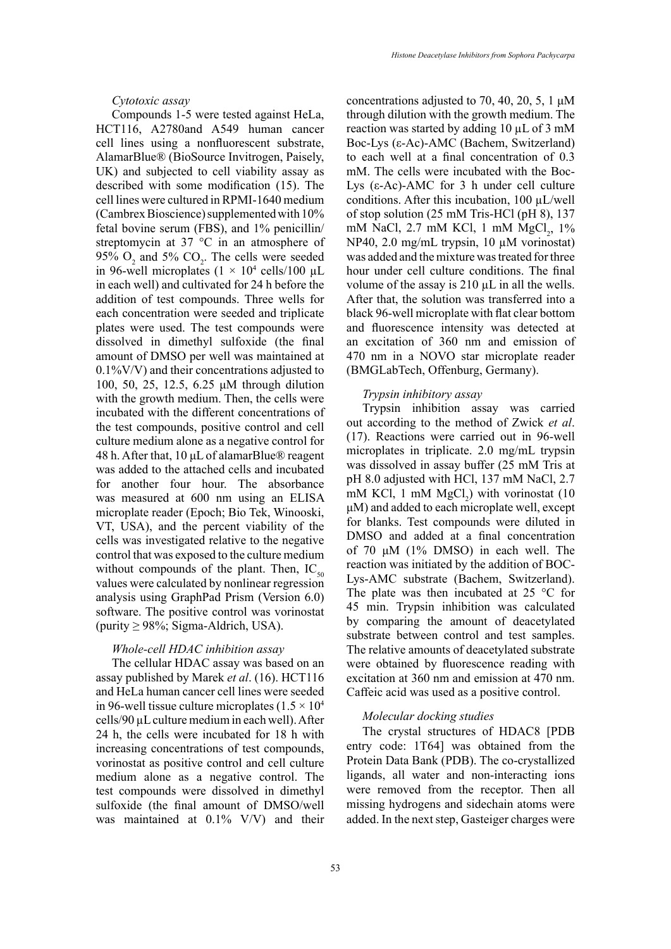### *Cytotoxic assay*

Compounds 1-5 were tested against HeLa, HCT116, A2780and A549 human cancer cell lines using a nonfluorescent substrate, AlamarBlue® (BioSource Invitrogen, Paisely, UK) and subjected to cell viability assay as described with some modification (15). The cell lines were cultured in RPMI-1640 medium (Cambrex Bioscience) supplemented with 10% fetal bovine serum (FBS), and 1% penicillin/ streptomycin at 37 °C in an atmosphere of 95%  $O_2$  and 5%  $CO_2$ . The cells were seeded in 96-well microplates  $(1 \times 10^4 \text{ cells}/100 \text{ }\mu\text{L})$ in each well) and cultivated for 24 h before the addition of test compounds. Three wells for each concentration were seeded and triplicate plates were used. The test compounds were dissolved in dimethyl sulfoxide (the final amount of DMSO per well was maintained at 0.1%V/V) and their concentrations adjusted to 100, 50, 25, 12.5, 6.25 μM through dilution with the growth medium. Then, the cells were incubated with the different concentrations of the test compounds, positive control and cell culture medium alone as a negative control for 48 h. After that, 10 μL of alamarBlue® reagent was added to the attached cells and incubated for another four hour. The absorbance was measured at 600 nm using an ELISA microplate reader (Epoch; Bio Tek, Winooski, VT, USA), and the percent viability of the cells was investigated relative to the negative control that was exposed to the culture medium without compounds of the plant. Then,  $IC_{50}$ values were calculated by nonlinear regression analysis using GraphPad Prism (Version 6.0) software. The positive control was vorinostat (purity  $\geq$  98%; Sigma-Aldrich, USA).

## *Whole-cell HDAC inhibition assay*

The cellular HDAC assay was based on an assay published by Marek *et al*. (16). HCT116 and HeLa human cancer cell lines were seeded in 96-well tissue culture microplates ( $1.5 \times 10^4$ ) cells/90 µL culture medium in each well). After 24 h, the cells were incubated for 18 h with increasing concentrations of test compounds, vorinostat as positive control and cell culture medium alone as a negative control. The test compounds were dissolved in dimethyl sulfoxide (the final amount of DMSO/well was maintained at 0.1% V/V) and their concentrations adjusted to 70, 40, 20, 5, 1 μM through dilution with the growth medium. The reaction was started by adding 10 µL of 3 mM Boc-Lys (ε-Ac)-AMC (Bachem, Switzerland) to each well at a final concentration of 0.3 mM. The cells were incubated with the Boc-Lys (ε-Ac)-AMC for 3 h under cell culture conditions. After this incubation,  $100 \mu L/well$ of stop solution (25 mM Tris-HCl (pH 8), 137 mM NaCl, 2.7 mM KCl, 1 mM MgCl<sub>2</sub>, 1% NP40, 2.0 mg/mL trypsin, 10 µM vorinostat) was added and the mixture was treated for three hour under cell culture conditions. The final volume of the assay is  $210 \mu L$  in all the wells. After that, the solution was transferred into a black 96-well microplate with flat clear bottom and fluorescence intensity was detected at an excitation of 360 nm and emission of 470 nm in a NOVO star microplate reader (BMGLabTech, Offenburg, Germany).

#### *Trypsin inhibitory assay*

Trypsin inhibition assay was carried out according to the method of Zwick *et al*. (17). Reactions were carried out in 96-well microplates in triplicate. 2.0 mg/mL trypsin was dissolved in assay buffer (25 mM Tris at pH 8.0 adjusted with HCl, 137 mM NaCl, 2.7 mM KCl, 1 mM  $MgCl<sub>2</sub>$ ) with vorinostat (10 μM) and added to each microplate well, except for blanks. Test compounds were diluted in DMSO and added at a final concentration of 70 μM (1% DMSO) in each well. The reaction was initiated by the addition of BOC-Lys-AMC substrate (Bachem, Switzerland). The plate was then incubated at 25 °C for 45 min. Trypsin inhibition was calculated by comparing the amount of deacetylated substrate between control and test samples. The relative amounts of deacetylated substrate were obtained by fluorescence reading with excitation at 360 nm and emission at 470 nm. Caffeic acid was used as a positive control.

#### *Molecular docking studies*

The crystal structures of HDAC8 [PDB entry code: 1T64] was obtained from the Protein Data Bank (PDB). The co-crystallized ligands, all water and non-interacting ions were removed from the receptor. Then all missing hydrogens and sidechain atoms were added. In the next step, Gasteiger charges were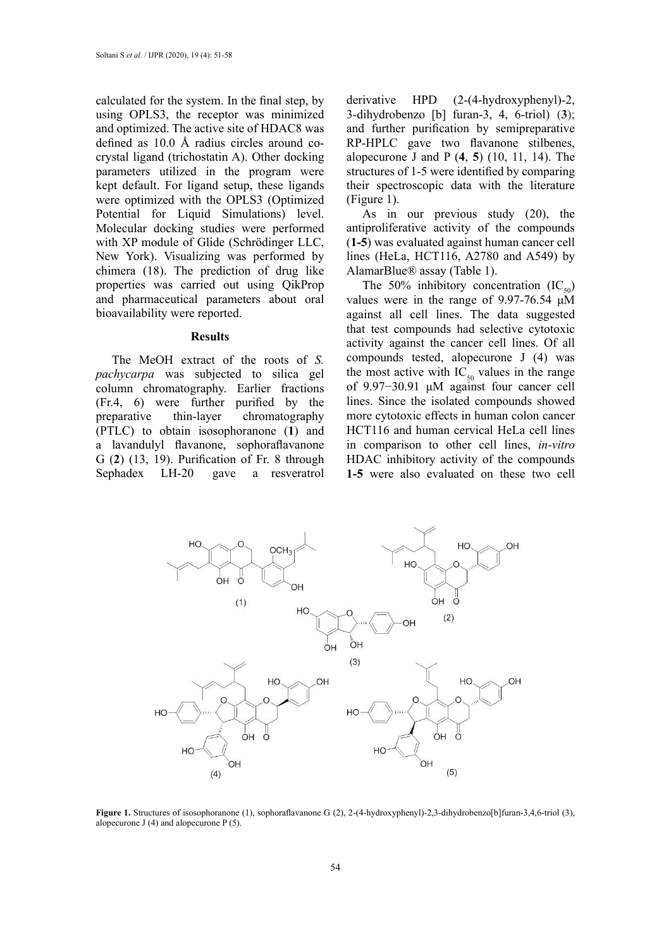calculated for the system. In the final step, by using OPLS3, the receptor was minimized and optimized. The active site of HDAC8 was defined as 10.0 Å radius circles around cocrystal ligand (trichostatin A). Other docking parameters utilized in the program were kept default. For ligand setup, these ligands were optimized with the OPLS3 (Optimized Potential for Liquid Simulations) level. Molecular docking studies were performed with XP module of Glide (Schrödinger LLC, New York). Visualizing was performed by chimera (18). The prediction of drug like properties was carried out using QikProp and pharmaceutical parameters about oral bioavailability were reported.

### **Results**

The MeOH extract of the roots of *S. pachycarpa* was subjected to silica gel column chromatography. Earlier fractions (Fr.4, 6) were further purified by the preparative thin-layer chromatography (PTLC) to obtain isosophoranone (**1**) and a lavandulyl flavanone, sophoraflavanone G (**2**) (13, 19). Purification of Fr. 8 through Sephadex LH-20 gave a resveratrol derivative HPD (2-(4-hydroxyphenyl)-2, 3-dihydrobenzo [b] furan-3, 4, 6-triol) (**3**); and further purification by semipreparative RP-HPLC gave two flavanone stilbenes, alopecurone J and P (**4**, **5**) (10, 11, 14). The structures of 1-5 were identified by comparing their spectroscopic data with the literature (Figure 1).

As in our previous study (20), the antiproliferative activity of the compounds (**1-5**) was evaluated against human cancer cell lines (HeLa, HCT116, A2780 and A549) by AlamarBlue® assay (Table 1).

The 50% inhibitory concentration  $(IC_{50})$ values were in the range of 9.97-76.54 μM against all cell lines. The data suggested that test compounds had selective cytotoxic activity against the cancer cell lines. Of all compounds tested, alopecurone J (4) was the most active with  $IC_{50}$  values in the range of 9.97−30.91 μM against four cancer cell lines. Since the isolated compounds showed more cytotoxic effects in human colon cancer HCT116 and human cervical HeLa cell lines in comparison to other cell lines, *in-vitro* HDAC inhibitory activity of the compounds **1-5** were also evaluated on these two cell



**Figure 1.** Structures of isosophoranone (1), sophoraflavanone G (2), 2-(4-hydroxyphenyl)-2,3-dihydrobenzo[b]furan-3,4,6-triol (3), alopecurone J  $(4)$  and alopecurone P $(5)$ .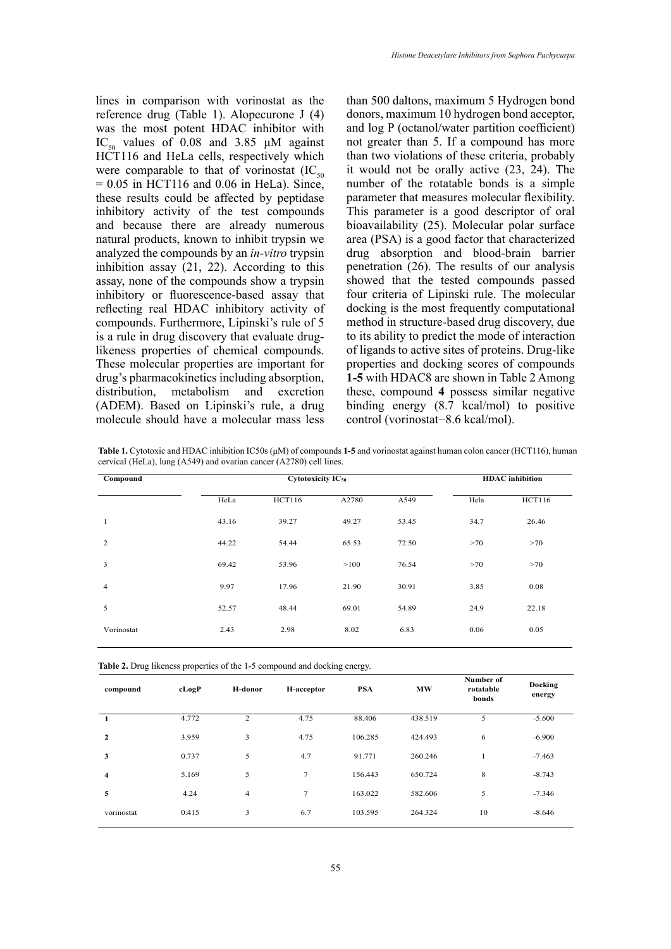lines in comparison with vorinostat as the reference drug (Table 1). Alopecurone J (4) was the most potent HDAC inhibitor with IC<sub>50</sub> values of 0.08 and 3.85  $\mu$ M against HCT116 and HeLa cells, respectively which were comparable to that of vorinostat  $(IC_{50})$  $= 0.05$  in HCT116 and 0.06 in HeLa). Since, these results could be affected by peptidase inhibitory activity of the test compounds and because there are already numerous natural products, known to inhibit trypsin we analyzed the compounds by an *in-vitro* trypsin inhibition assay (21, 22). According to this assay, none of the compounds show a trypsin inhibitory or fluorescence-based assay that reflecting real HDAC inhibitory activity of compounds. Furthermore, Lipinski's rule of 5 is a rule in drug discovery that evaluate druglikeness properties of chemical compounds. These molecular properties are important for drug's pharmacokinetics including absorption, distribution, metabolism and excretion (ADEM). Based on Lipinski's rule, a drug molecule should have a molecular mass less

than 500 daltons, maximum 5 Hydrogen bond donors, maximum 10 hydrogen bond acceptor, and log P (octanol/water partition coefficient) not greater than 5. If a compound has more than two violations of these criteria, probably it would not be orally active (23, 24). The number of the rotatable bonds is a simple parameter that measures molecular flexibility. This parameter is a good descriptor of oral bioavailability (25). Molecular polar surface area (PSA) is a good factor that characterized drug absorption and blood-brain barrier penetration (26). The results of our analysis showed that the tested compounds passed four criteria of Lipinski rule. The molecular docking is the most frequently computational method in structure-based drug discovery, due to its ability to predict the mode of interaction of ligands to active sites of proteins. Drug-like properties and docking scores of compounds **1-5** with HDAC8 are shown in Table 2 Among these, compound **4** possess similar negative binding energy (8.7 kcal/mol) to positive control (vorinostat−8.6 kcal/mol).

**Table 1.** Cytotoxic and HDAC inhibition IC50s (μM) of compounds **1-5** and vorinostat against human colon cancer (HCT116), human cervical (HeLa), lung (A549) and ovarian cancer (A2780) cell lines.

| Compound       |       | <b>Cytotoxicity IC<sub>50</sub></b> | <b>HDAC</b> inhibition |       |      |               |
|----------------|-------|-------------------------------------|------------------------|-------|------|---------------|
|                | HeLa  | <b>HCT116</b>                       | A2780                  | A549  | Hela | <b>HCT116</b> |
| 1              | 43.16 | 39.27                               | 49.27                  | 53.45 | 34.7 | 26.46         |
| 2              | 44.22 | 54.44                               | 65.53                  | 72.50 | >70  | >70           |
| 3              | 69.42 | 53.96                               | >100                   | 76.54 | >70  | >70           |
| $\overline{4}$ | 9.97  | 17.96                               | 21.90                  | 30.91 | 3.85 | 0.08          |
| 5              | 52.57 | 48.44                               | 69.01                  | 54.89 | 24.9 | 22.18         |
| Vorinostat     | 2.43  | 2.98                                | 8.02                   | 6.83  | 0.06 | 0.05          |

| cLogP | H-donor        | H-acceptor | <b>PSA</b> | <b>MW</b> | Number of<br>rotatable<br>bonds | Docking<br>energy |
|-------|----------------|------------|------------|-----------|---------------------------------|-------------------|
| 4.772 | $\overline{2}$ | 4.75       | 88.406     | 438.519   | 5                               | $-5.600$          |
| 3.959 | 3              | 4.75       | 106.285    | 424.493   | 6                               | $-6.900$          |
| 0.737 | 5              | 4.7        | 91.771     | 260.246   | 1                               | $-7.463$          |
| 5.169 | 5              | $\tau$     | 156.443    | 650.724   | 8                               | $-8.743$          |
| 4.24  | $\overline{4}$ | $\tau$     | 163.022    | 582.606   | 5                               | $-7.346$          |
| 0.415 | 3              | 6.7        | 103.595    | 264.324   | 10                              | $-8.646$          |
|       |                |            |            |           |                                 |                   |

**Table 2.** Drug likeness properties of the 1-5 compound and docking energy.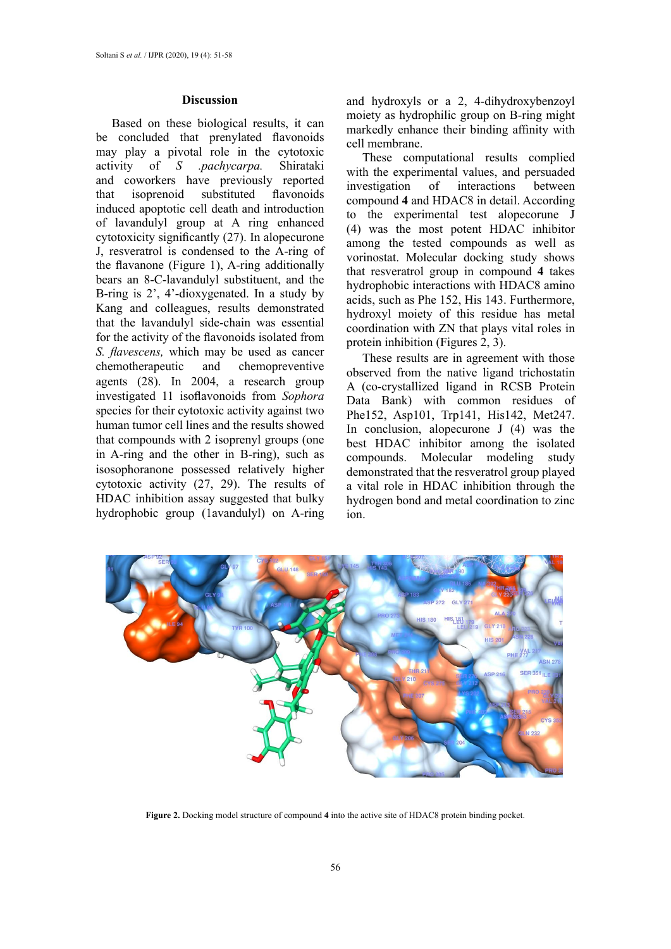#### **Discussion**

Based on these biological results, it can be concluded that prenylated flavonoids may play a pivotal role in the cytotoxic<br>activity of  $S$  *pachycarpa*. Shirataki activity of *S* .pachycarpa. and coworkers have previously reported that isoprenoid substituted flavonoids induced apoptotic cell death and introduction of lavandulyl group at A ring enhanced cytotoxicity significantly (27). In alopecurone J, resveratrol is condensed to the A-ring of the flavanone (Figure 1), A-ring additionally bears an 8-C-lavandulyl substituent, and the B-ring is 2', 4'-dioxygenated. In a study by Kang and colleagues, results demonstrated that the lavandulyl side-chain was essential for the activity of the flavonoids isolated from *S. flavescens,* which may be used as cancer chemotherapeutic and chemopreventive agents (28). In 2004, a research group investigated 11 isoflavonoids from *Sophora* species for their cytotoxic activity against two human tumor cell lines and the results showed that compounds with 2 isoprenyl groups (one in A-ring and the other in B-ring), such as isosophoranone possessed relatively higher cytotoxic activity (27, 29). The results of HDAC inhibition assay suggested that bulky hydrophobic group (1avandulyl) on A-ring

and hydroxyls or a 2, 4-dihydroxybenzoyl moiety as hydrophilic group on B-ring might markedly enhance their binding affinity with cell membrane.

These computational results complied with the experimental values, and persuaded investigation of interactions between compound **4** and HDAC8 in detail. According to the experimental test alopecorune J (4) was the most potent HDAC inhibitor among the tested compounds as well as vorinostat. Molecular docking study shows that resveratrol group in compound **4** takes hydrophobic interactions with HDAC8 amino acids, such as Phe 152, His 143. Furthermore, hydroxyl moiety of this residue has metal coordination with ZN that plays vital roles in protein inhibition (Figures 2, 3).

These results are in agreement with those observed from the native ligand trichostatin A (co-crystallized ligand in RCSB Protein Data Bank) with common residues of Phe152, Asp101, Trp141, His142, Met247. In conclusion, alopecurone J (4) was the best HDAC inhibitor among the isolated compounds. Molecular modeling study demonstrated that the resveratrol group played a vital role in HDAC inhibition through the hydrogen bond and metal coordination to zinc ion.



**Figure 2.** Docking model structure of compound **4** into the active site of HDAC8 protein binding pocket.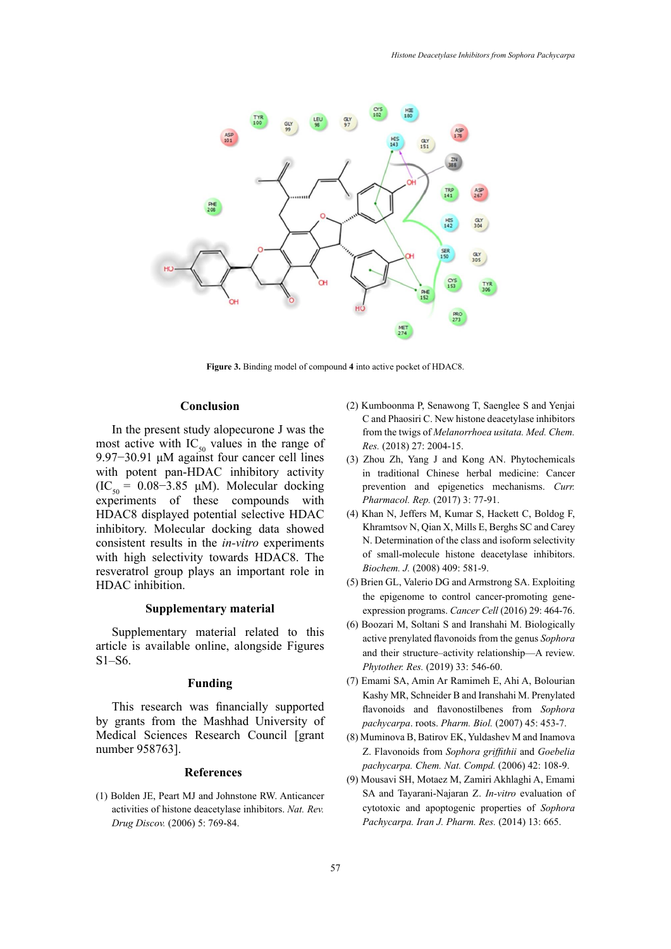

**Figure 3.** Binding model of compound **4** into active pocket of HDAC8.

#### **Conclusion**  $F_{\text{S}}$  **Figure 3.**  $F_{\text{S}}$

In the present study alopecurone J was the most active with  $IC_{50}$  values in the range of 9.97−30.91 μM against four cancer cell lines with potent pan-HDAC inhibitory activity (IC<sub>50</sub> = 0.08–3.85 μM). Molecular docking experiments of these compounds with HDAC8 displayed potential selective HDAC inhibitory. Molecular docking data showed consistent results in the *in-vitro* experiments with high selectivity towards HDAC8. The resveratrol group plays an important role in HDAC inhibition.

### **Supplementary material**

Supplementary material related to this article is available online, alongside Figures S1–S6.

### **Funding**

This research was financially supported by grants from the Mashhad University of Medical Sciences Research Council [grant number 958763].

### **References**

(1) Bolden JE, Peart MJ and Johnstone RW. Anticancer activities of histone deacetylase inhibitors. *Nat. Rev. Drug Discov.* (2006) 5: 769-84.

- (2) Kumboonma P, Senawong T, Saenglee S and Yenjai C and Phaosiri C. New histone deacetylase inhibitors from the twigs of *Melanorrhoea usitata. Med. Chem. Res.* (2018) 27: 2004-15.
- (3) Zhou Zh, Yang J and Kong AN. Phytochemicals in traditional Chinese herbal medicine: Cancer prevention and epigenetics mechanisms. *Curr. Pharmacol. Rep.* (2017) 3: 77-91.
- (4) Khan N, Jeffers M, Kumar S, Hackett C, Boldog F, Khramtsov N, Qian X, Mills E, Berghs SC and Carey N. Determination of the class and isoform selectivity of small-molecule histone deacetylase inhibitors. *Biochem. J.* (2008) 409: 581-9.
- (5) Brien GL, Valerio DG and Armstrong SA. Exploiting the epigenome to control cancer-promoting geneexpression programs. *Cancer Cell* (2016) 29: 464-76.
- (6) Boozari M, Soltani S and Iranshahi M. Biologically active prenylated flavonoids from the genus *Sophora* and their structure–activity relationship—A review. *Phytother. Res.* (2019) 33: 546-60.
- (7) Emami SA, Amin Ar Ramimeh E, Ahi A, Bolourian Kashy MR, Schneider B and Iranshahi M. Prenylated flavonoids and flavonostilbenes from *Sophora pachycarpa*. roots. *Pharm. Biol.* (2007) 45: 453-7.
- (8) Muminova B, Batirov EK, Yuldashev M and Inamova Z. Flavonoids from *Sophora griffithii* and *Goebelia pachycarpa. Chem. Nat. Compd.* (2006) 42: 108-9.
- (9) Mousavi SH, Motaez M, Zamiri Akhlaghi A, Emami SA and Tayarani-Najaran Z. *In-vitro* evaluation of cytotoxic and apoptogenic properties of *Sophora Pachycarpa. Iran J. Pharm. Res.* (2014) 13: 665.